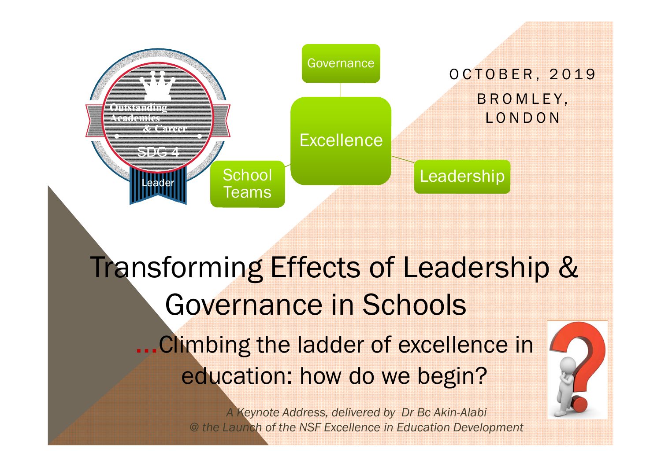

# Transforming Effects of Leadership & Governance in Schools ... Climbing the ladder of excellence in education: how do we begin?

*A Keynote Address, delivered by Dr Bc Akin-Alabi @ the Launch of the NSF Excellence in Education Development*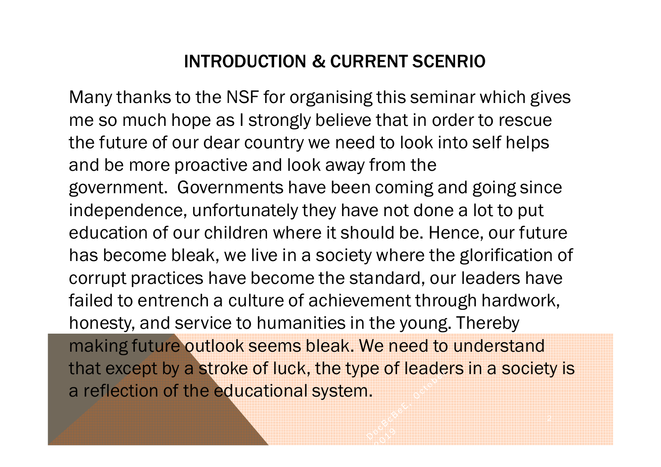### INTRODUCTION & CURRENT SCENRIO

Many thanks to the NSF for organising this seminar which gives me so much hope as I strongly believe that in order to rescue the future of our dear country we need to look into self helps and be more proactive and look away from the government. Governments have been coming and going since independence, unfortunately they have not done a lot to put education of our children where it should be. Hence, our future has become bleak, we live in a society where the glorification of corrupt practices have become the standard, our leaders have failed to entrench a culture of achievement through hardwork, honesty, and service to humanities in the young. Thereby making future outlook seems bleak. We need to understand that except by a stroke of luck, the type of leaders in a society is a reflection of the educational system.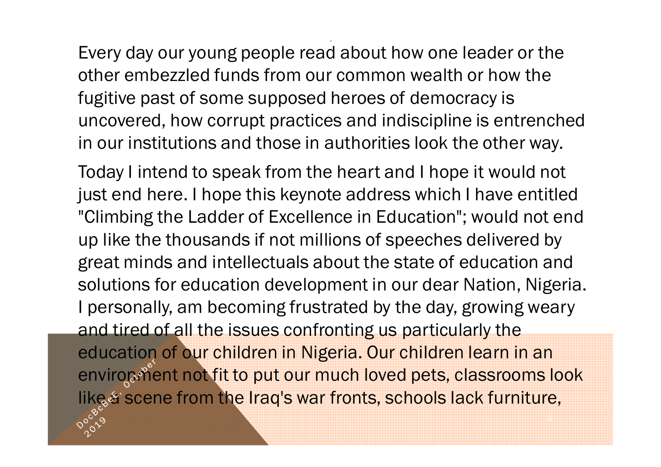Every day our young people read about how one leader or the other embezzled funds from our common wealth or how the fugitive past of some supposed heroes of democracy is uncovered, how corrupt practices and indiscipline is entrenched in our institutions and those in authorities look the other way.

.

Today I intend to speak from the heart and I hope it would not just end here. I hope this keynote address which I have entitled "Climbing the Ladder of Excellence in Education"; would not end up like the thousands if not millions of speeches delivered by great minds and intellectuals about the state of education and solutions for education development in our dear Nation, Nigeria. I personally, am becoming frustrated by the day, growing weary and tired of all the issues confronting us particularly the education of our children in Nigeria. Our children learn in an enviropment not fit to put our much loved pets, classrooms look like a scene from the Iraq's war fronts, schools lack furniture,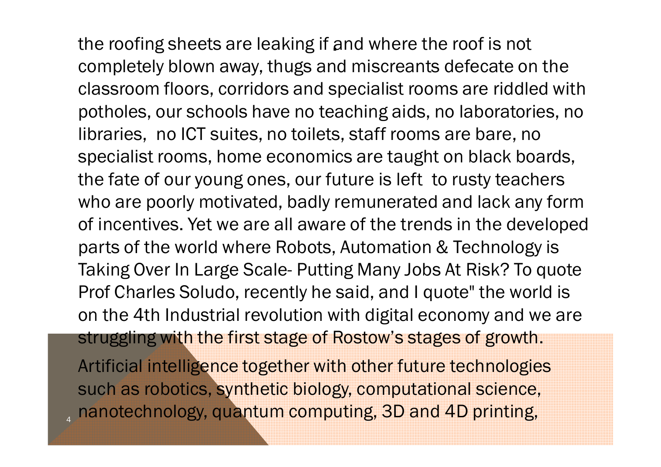the roofing sheets are leaking if and where the roof is not completely blown away, thugs and miscreants defecate on the classroom floors, corridors and specialist rooms are riddled with potholes, our schools have no teaching aids, no laboratories, no libraries, no ICT suites, no toilets, staff rooms are bare, no specialist rooms, home economics are taught on black boards, the fate of our young ones, our future is left to rusty teachers who are poorly motivated, badly remunerated and lack any form of incentives. Yet we are all aware of the trends in the developed parts of the world where Robots, Automation & Technology is Taking Over In Large Scale- Putting Many Jobs At Risk? To quote Prof Charles Soludo, recently he said, and I quote" the world is on the 4th Industrial revolution with digital economy and we are struggling with the first stage of Rostow's stages of growth. Artificial intelligence together with other future technologies such as robotics, synthetic biology, computational science, <sub>4</sub> nanotechnology, quantum computing, 3D and 4D printing,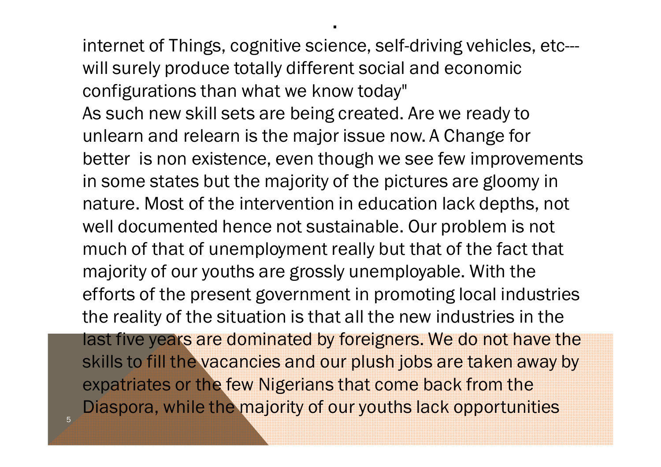internet of Things, cognitive science, self-driving vehicles, etc-- will surely produce totally different social and economic configurations than what we know today" As such new skill sets are being created. Are we ready to unlearn and relearn is the major issue now. A Change for better is non existence, even though we see few improvements in some states but the majority of the pictures are gloomy in nature. Most of the intervention in education lack depths, not well documented hence not sustainable. Our problem is not much of that of unemployment really but that of the fact that majority of our youths are grossly unemployable. With the efforts of the present government in promoting local industries the reality of the situation is that all the new industries in the last five years are dominated by foreigners. We do not have the skills to fill the vacancies and our plush jobs are taken away by expatriates or the few Nigerians that come back from the Diaspora, while the majority of our youths lack opportunities

.

5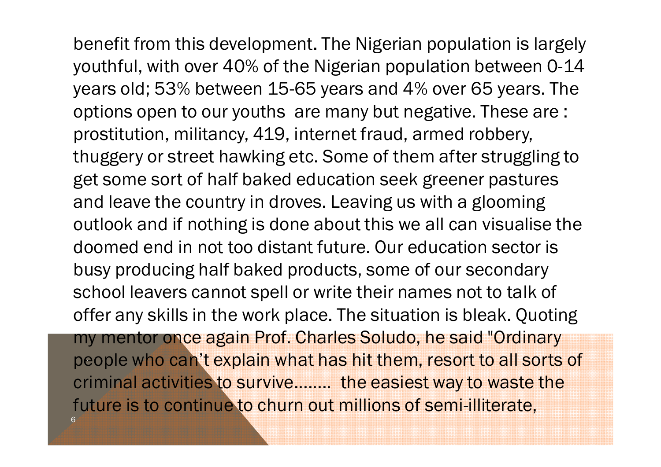. benefit from this development. The Nigerian population is largely youthful, with over 40% of the Nigerian population between 0-14 years old; 53% between 15-65 years and 4% over 65 years. The options open to our youths are many but negative. These are : prostitution, militancy, 419, internet fraud, armed robbery, thuggery or street hawking etc. Some of them after struggling to get some sort of half baked education seek greener pastures and leave the country in droves. Leaving us with a glooming outlook and if nothing is done about this we all can visualise the doomed end in not too distant future. Our education sector is busy producing half baked products, some of our secondary school leavers cannot spell or write their names not to talk of offer any skills in the work place. The situation is bleak. Quoting my mentor once again Prof. Charles Soludo, he said "Ordinary people who can't explain what has hit them, resort to all sorts of criminal activities to survive........ the easiest way to waste the future is to continue to churn out millions of semi-illiterate, 6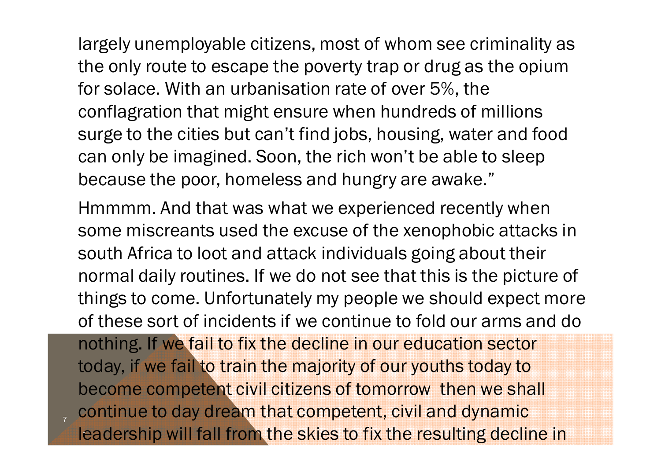. largely unemployable citizens, most of whom see criminality as the only route to escape the poverty trap or drug as the opium for solace. With an urbanisation rate of over 5%, the conflagration that might ensure when hundreds of millions surge to the cities but can't find jobs, housing, water and food can only be imagined. Soon, the rich won't be able to sleep because the poor, homeless and hungry are awake."

Hmmmm. And that was what we experienced recently when some miscreants used the excuse of the xenophobic attacks in south Africa to loot and attack individuals going about their normal daily routines. If we do not see that this is the picture of things to come. Unfortunately my people we should expect more of these sort of incidents if we continue to fold our arms and do

nothing. If we fail to fix the decline in our education sector today, if we fail to train the majority of our youths today to become competent civil citizens of tomorrow then we shall continue to day dream that competent, civil and dynamic leadership will fall from the skies to fix the resulting decline in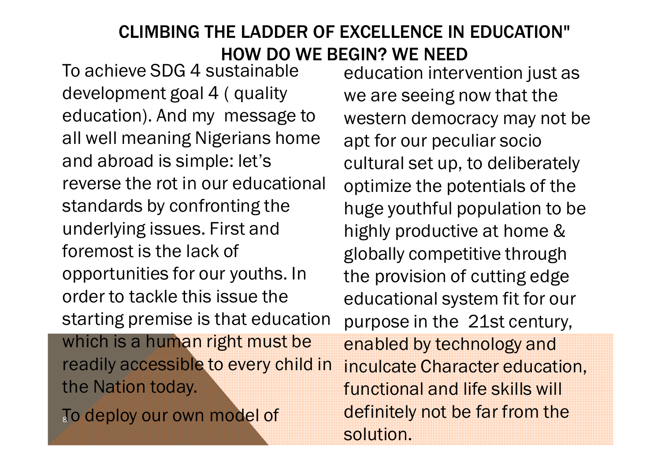#### CLIMBING THE LADDER OF EXCELLENCE IN EDUCATION" HOW DO WE BEGIN? WE NEED

To achieve SDG 4 sustainable development goal 4 ( quality education). And my message to all well meaning Nigerians home and abroad is simple: let's reverse the rot in our educational standards by confronting the underlying issues. First and foremost is the lack of opportunities for our youths. In order to tackle this issue the starting premise is that education which is a human right must be readily accessible to every child in the Nation today.

To deploy our own model of

education intervention just as we are seeing now that the western democracy may not be apt for our peculiar socio cultural set up, to deliberately optimize the potentials of the huge youthful population to be highly productive at home & globally competitive through the provision of cutting edge educational system fit for our purpose in the 21st century,

enabled by technology and inculcate Character education, functional and life skills will definitely not be far from the solution.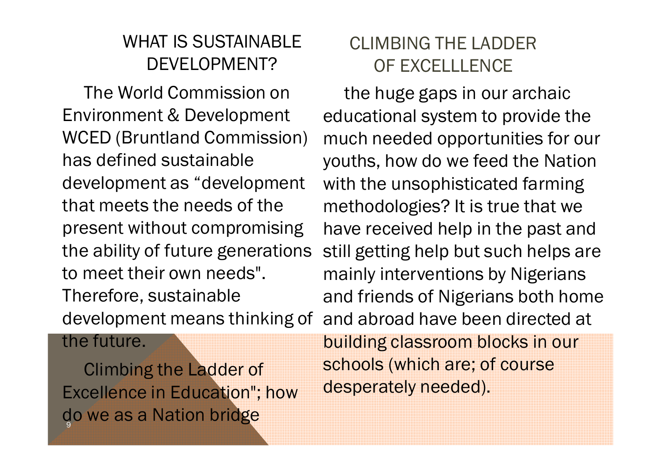### WHAT IS SUSTAINABLE DEVELOPMENT?

The World Commission on Environment & Development WCED (Bruntland Commission) has defined sustainable development as "development that meets the needs of the present without compromising the ability of future generations to meet their own needs". Therefore, sustainable development means thinking of

### CLIMBING THE LADDER OF EXCELLLENCE

the huge gaps in our archaic educational system to provide the much needed opportunities for our youths, how do we feed the Nation with the unsophisticated farming methodologies? It is true that we have received help in the past and still getting help but such helps are mainly interventions by Nigerians and friends of Nigerians both home and abroad have been directed at

#### the future.

do we as a Nation brid<mark>ge</mark> Climbing the Ladder of Excellence in Education"; how

building classroom blocks in our schools (which are; of course desperately needed).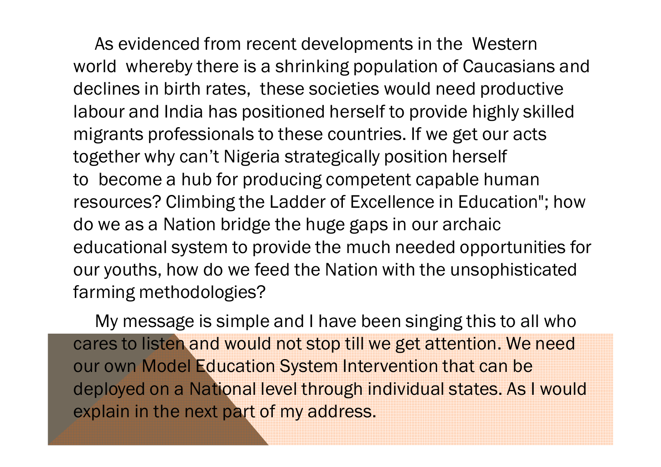. As evidenced from recent developments in the Western world whereby there is a shrinking population of Caucasians and declines in birth rates, these societies would need productive labour and India has positioned herself to provide highly skilled migrants professionals to these countries. If we get our acts together why can't Nigeria strategically position herself to become a hub for producing competent capable human resources? Climbing the Ladder of Excellence in Education"; how do we as a Nation bridge the huge gaps in our archaic educational system to provide the much needed opportunities for our youths, how do we feed the Nation with the unsophisticated farming methodologies?

My message is simple and I have been singing this to all who cares to listen and would not stop till we get attention. We need our own Model Education System Intervention that can be deployed on a National level through individual states. As I would explain in the next part of my address.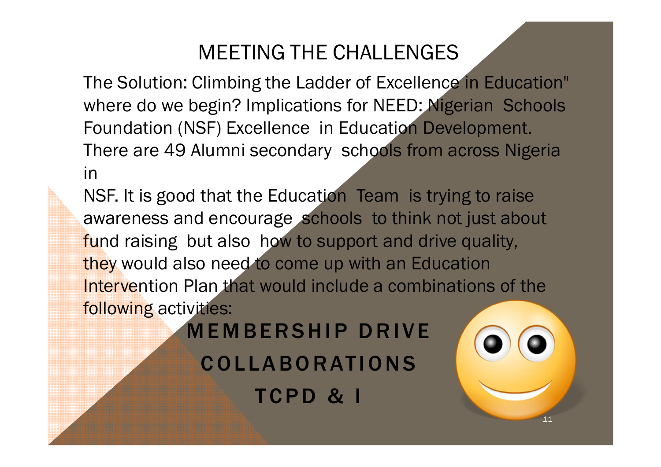### MEETING THE CHALLENGES

The Solution: Climbing the Ladder of Excellence in Education" where do we begin? Implications for NEED: Nigerian Schools Foundation (NSF) Excellence in Education Development. There are 49 Alumni secondary schools from across Nigeria in

NSF. It is good that the Education Team is trying to raise awareness and encourage schools to think not just about fund raising but also how to support and drive quality, they would also need to come up with an Education Intervention Plan that would include a combinations of the following activities:

**MEMBERSHIP DRIVE COLLABORATIONS** TCPD & I

11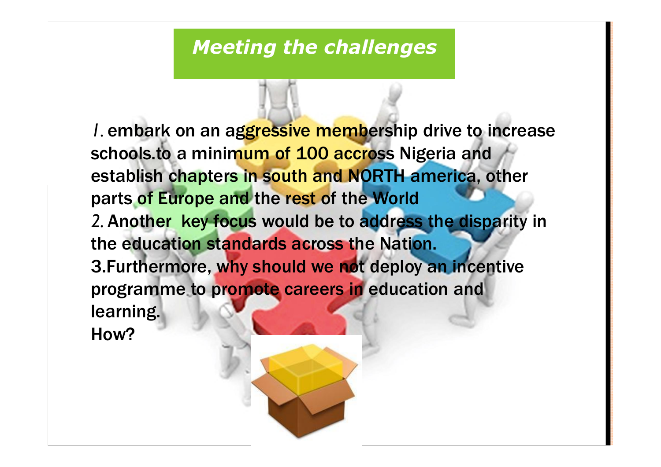#### *Meeting the challenges*

*I.* embark on an aggressive membership drive to increase schools.to a minimum of 100 accross Nigeria and establish chapters in south and NORTH america, other parts of Europe and the rest of the World *2.* Another key focus would be to address the disparity in the education standards across the Nation. 3.Furthermore, why should we not deploy an incentive programme to promote careers in education and learning.

How?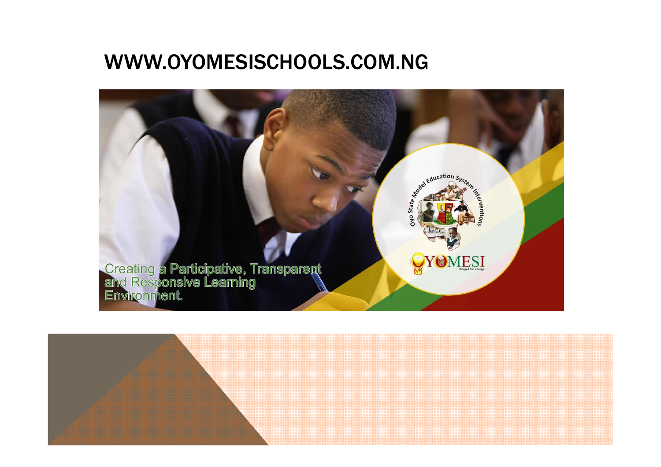### WWW.OYOMESISCHOOLS.COM.NG



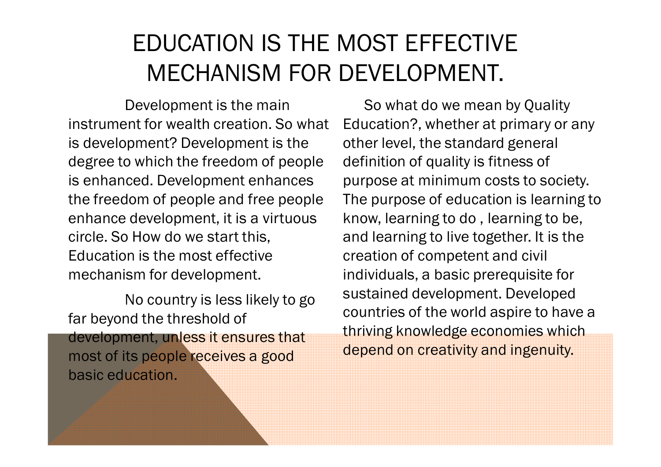## EDUCATION IS THE MOST EFFECTIVE MECHANISM FOR DEVELOPMENT.

Development is the main instrument for wealth creation. So what is development? Development is the degree to which the freedom of people is enhanced. Development enhances the freedom of people and free people enhance development, it is a virtuous circle. So How do we start this, Education is the most effective mechanism for development.

No country is less likely to go far beyond the threshold of development, unless it ensures that most of its people receives a good basic education.

So what do we mean by Quality Education?, whether at primary or any other level, the standard general definition of quality is fitness of purpose at minimum costs to society. The purpose of education is learning to know, learning to do , learning to be, and learning to live together. It is the creation of competent and civil individuals, a basic prerequisite for sustained development. Developed countries of the world aspire to have a thriving knowledge economies which depend on creativity and ingenuity.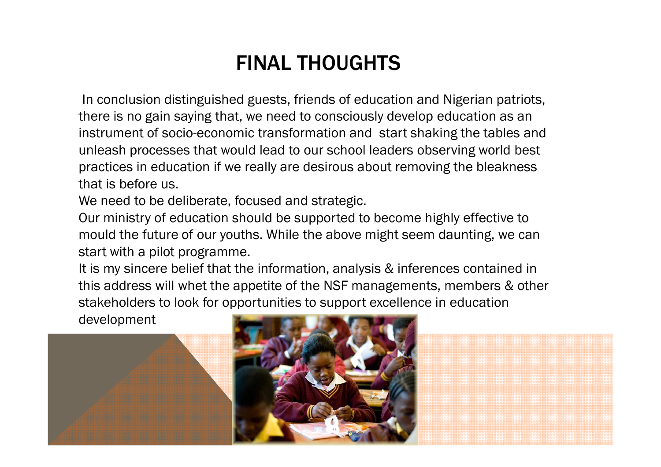### FINAL THOUGHTS

In conclusion distinguished guests, friends of education and Nigerian patriots, there is no gain saying that, we need to consciously develop education as an instrument of socio-economic transformation and start shaking the tables and unleash processes that would lead to our school leaders observing world best practices in education if we really are desirous about removing the bleakness that is before us.

We need to be deliberate, focused and strategic.

Our ministry of education should be supported to become highly effective to mould the future of our youths. While the above might seem daunting, we can start with a pilot programme.

It is my sincere belief that the information, analysis & inferences contained in this address will whet the appetite of the NSF managements, members & other stakeholders to look for opportunities to support excellence in education

development